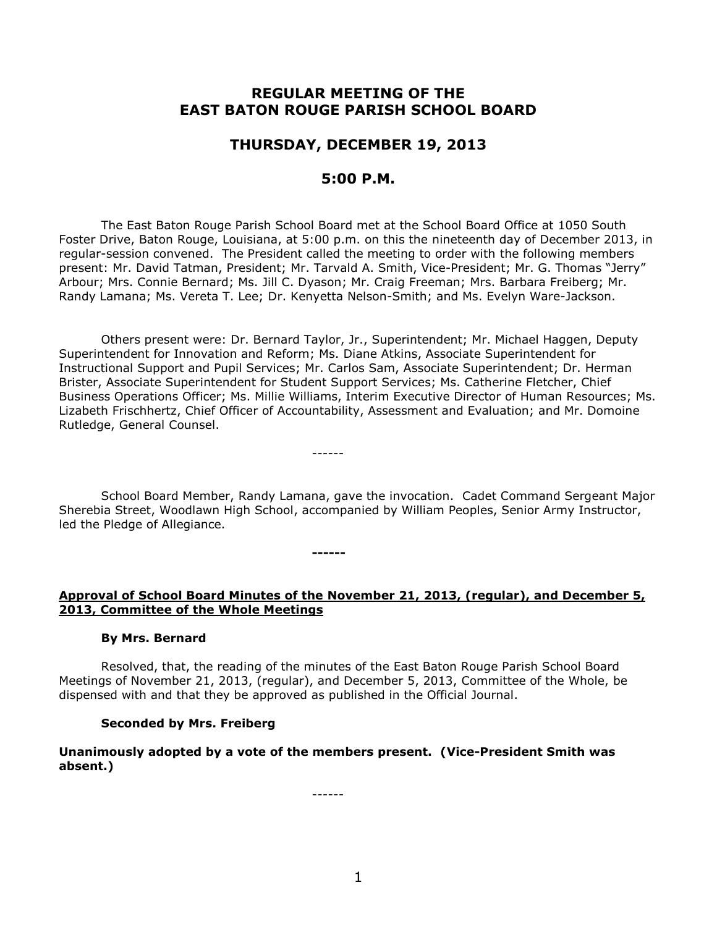# **REGULAR MEETING OF THE EAST BATON ROUGE PARISH SCHOOL BOARD**

# **THURSDAY, DECEMBER 19, 2013**

# **5:00 P.M.**

The East Baton Rouge Parish School Board met at the School Board Office at 1050 South Foster Drive, Baton Rouge, Louisiana, at 5:00 p.m. on this the nineteenth day of December 2013, in regular-session convened. The President called the meeting to order with the following members present: Mr. David Tatman, President; Mr. Tarvald A. Smith, Vice-President; Mr. G. Thomas "Jerry" Arbour; Mrs. Connie Bernard; Ms. Jill C. Dyason; Mr. Craig Freeman; Mrs. Barbara Freiberg; Mr. Randy Lamana; Ms. Vereta T. Lee; Dr. Kenyetta Nelson-Smith; and Ms. Evelyn Ware-Jackson.

Others present were: Dr. Bernard Taylor, Jr., Superintendent; Mr. Michael Haggen, Deputy Superintendent for Innovation and Reform; Ms. Diane Atkins, Associate Superintendent for Instructional Support and Pupil Services; Mr. Carlos Sam, Associate Superintendent; Dr. Herman Brister, Associate Superintendent for Student Support Services; Ms. Catherine Fletcher, Chief Business Operations Officer; Ms. Millie Williams, Interim Executive Director of Human Resources; Ms. Lizabeth Frischhertz, Chief Officer of Accountability, Assessment and Evaluation; and Mr. Domoine Rutledge, General Counsel.

School Board Member, Randy Lamana, gave the invocation. Cadet Command Sergeant Major Sherebia Street, Woodlawn High School, accompanied by William Peoples, Senior Army Instructor, led the Pledge of Allegiance.

------

**------**

## **Approval of School Board Minutes of the November 21, 2013, (regular), and December 5, 2013, Committee of the Whole Meetings**

## **By Mrs. Bernard**

Resolved, that, the reading of the minutes of the East Baton Rouge Parish School Board Meetings of November 21, 2013, (regular), and December 5, 2013, Committee of the Whole, be dispensed with and that they be approved as published in the Official Journal.

## **Seconded by Mrs. Freiberg**

**Unanimously adopted by a vote of the members present. (Vice-President Smith was absent.)**

------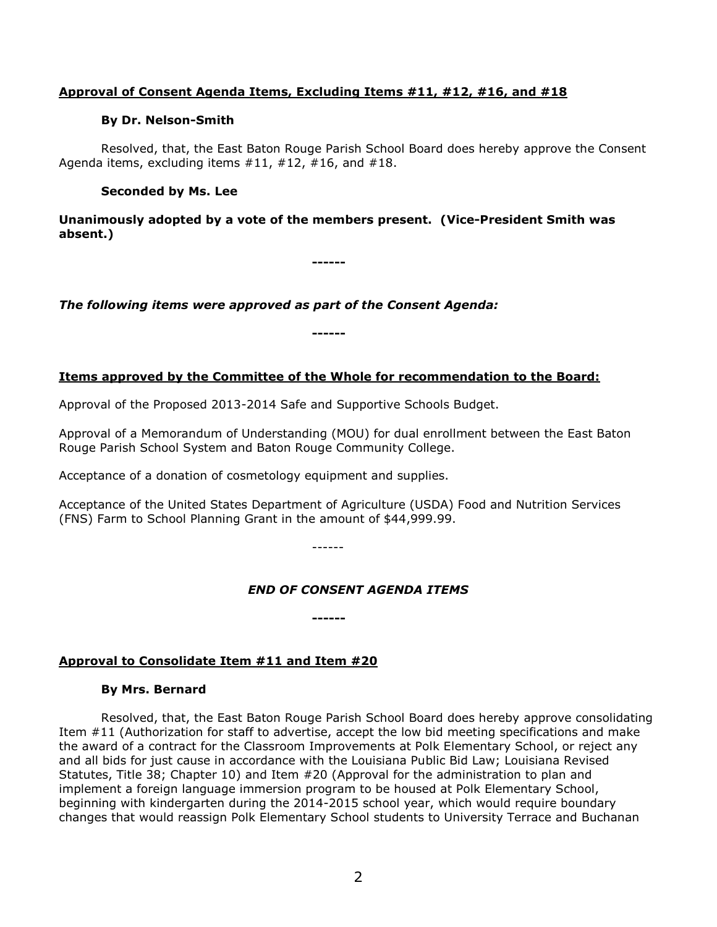## **Approval of Consent Agenda Items, Excluding Items #11, #12, #16, and #18**

## **By Dr. Nelson-Smith**

Resolved, that, the East Baton Rouge Parish School Board does hereby approve the Consent Agenda items, excluding items #11, #12, #16, and #18.

## **Seconded by Ms. Lee**

**Unanimously adopted by a vote of the members present. (Vice-President Smith was absent.)**

**------**

*The following items were approved as part of the Consent Agenda:*

## **Items approved by the Committee of the Whole for recommendation to the Board:**

**------**

Approval of the Proposed 2013-2014 Safe and Supportive Schools Budget.

Approval of a Memorandum of Understanding (MOU) for dual enrollment between the East Baton Rouge Parish School System and Baton Rouge Community College.

Acceptance of a donation of cosmetology equipment and supplies.

Acceptance of the United States Department of Agriculture (USDA) Food and Nutrition Services (FNS) Farm to School Planning Grant in the amount of \$44,999.99.

------

**------**

## *END OF CONSENT AGENDA ITEMS*

## **Approval to Consolidate Item #11 and Item #20**

## **By Mrs. Bernard**

Resolved, that, the East Baton Rouge Parish School Board does hereby approve consolidating Item #11 (Authorization for staff to advertise, accept the low bid meeting specifications and make the award of a contract for the Classroom Improvements at Polk Elementary School, or reject any and all bids for just cause in accordance with the Louisiana Public Bid Law; Louisiana Revised Statutes, Title 38; Chapter 10) and Item #20 (Approval for the administration to plan and implement a foreign language immersion program to be housed at Polk Elementary School, beginning with kindergarten during the 2014-2015 school year, which would require boundary changes that would reassign Polk Elementary School students to University Terrace and Buchanan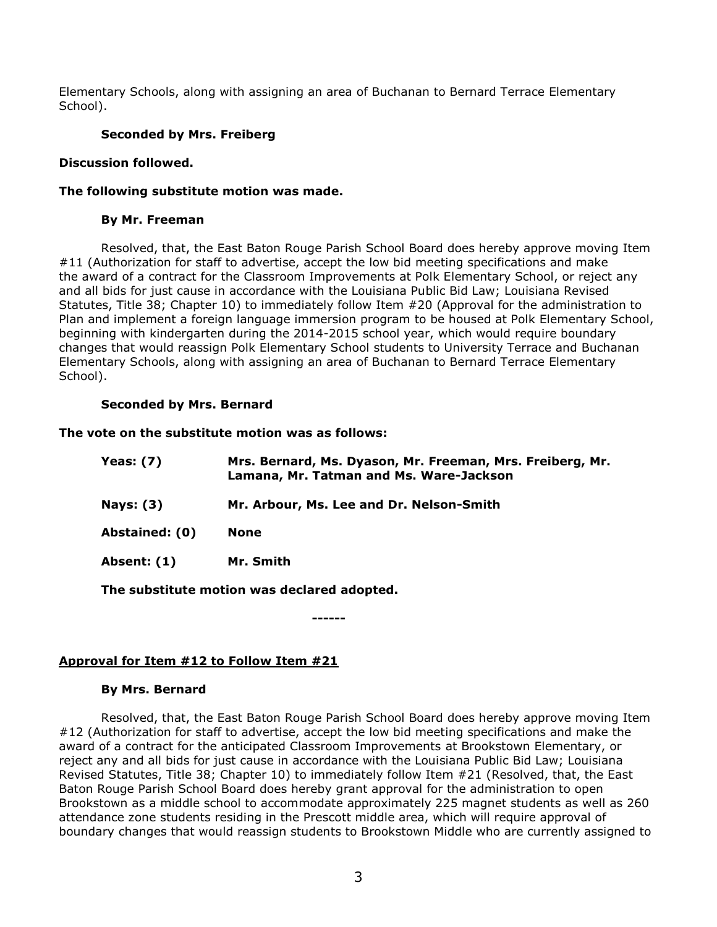Elementary Schools, along with assigning an area of Buchanan to Bernard Terrace Elementary School).

## **Seconded by Mrs. Freiberg**

### **Discussion followed.**

### **The following substitute motion was made.**

#### **By Mr. Freeman**

Resolved, that, the East Baton Rouge Parish School Board does hereby approve moving Item #11 (Authorization for staff to advertise, accept the low bid meeting specifications and make the award of a contract for the Classroom Improvements at Polk Elementary School, or reject any and all bids for just cause in accordance with the Louisiana Public Bid Law; Louisiana Revised Statutes, Title 38; Chapter 10) to immediately follow Item #20 (Approval for the administration to Plan and implement a foreign language immersion program to be housed at Polk Elementary School, beginning with kindergarten during the 2014-2015 school year, which would require boundary changes that would reassign Polk Elementary School students to University Terrace and Buchanan Elementary Schools, along with assigning an area of Buchanan to Bernard Terrace Elementary School).

## **Seconded by Mrs. Bernard**

#### **The vote on the substitute motion was as follows:**

| Yeas: $(7)$    | Mrs. Bernard, Ms. Dyason, Mr. Freeman, Mrs. Freiberg, Mr.<br>Lamana, Mr. Tatman and Ms. Ware-Jackson |
|----------------|------------------------------------------------------------------------------------------------------|
| Nays: $(3)$    | Mr. Arbour, Ms. Lee and Dr. Nelson-Smith                                                             |
| Abstained: (0) | None                                                                                                 |
| Absent: (1)    | Mr. Smith                                                                                            |
|                | The substitute motion was declared adopted.                                                          |

**------**

## **Approval for Item #12 to Follow Item #21**

#### **By Mrs. Bernard**

Resolved, that, the East Baton Rouge Parish School Board does hereby approve moving Item #12 (Authorization for staff to advertise, accept the low bid meeting specifications and make the award of a contract for the anticipated Classroom Improvements at Brookstown Elementary, or reject any and all bids for just cause in accordance with the Louisiana Public Bid Law; Louisiana Revised Statutes, Title 38; Chapter 10) to immediately follow Item #21 (Resolved, that, the East Baton Rouge Parish School Board does hereby grant approval for the administration to open Brookstown as a middle school to accommodate approximately 225 magnet students as well as 260 attendance zone students residing in the Prescott middle area, which will require approval of boundary changes that would reassign students to Brookstown Middle who are currently assigned to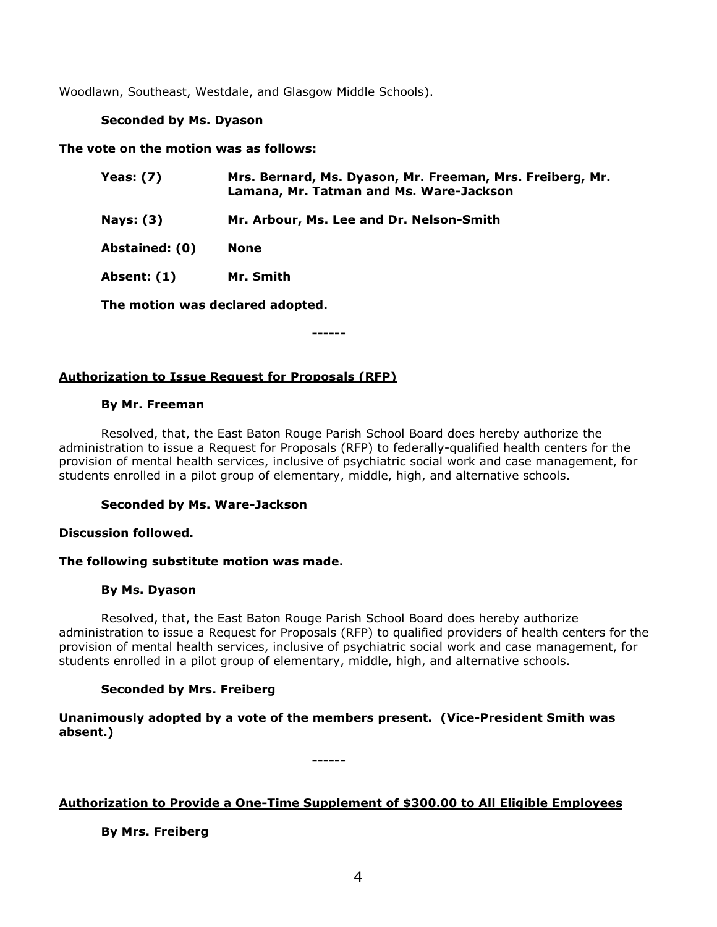Woodlawn, Southeast, Westdale, and Glasgow Middle Schools).

## **Seconded by Ms. Dyason**

**The vote on the motion was as follows:**

| <b>Yeas: (7)</b>                 | Mrs. Bernard, Ms. Dyason, Mr. Freeman, Mrs. Freiberg, Mr.<br>Lamana, Mr. Tatman and Ms. Ware-Jackson |
|----------------------------------|------------------------------------------------------------------------------------------------------|
| <b>Nays: (3)</b>                 | Mr. Arbour, Ms. Lee and Dr. Nelson-Smith                                                             |
| Abstained: (0)                   | None                                                                                                 |
| Absent: (1)                      | Mr. Smith                                                                                            |
| The motion was declared adopted. |                                                                                                      |

**------**

## **Authorization to Issue Request for Proposals (RFP)**

## **By Mr. Freeman**

Resolved, that, the East Baton Rouge Parish School Board does hereby authorize the administration to issue a Request for Proposals (RFP) to federally-qualified health centers for the provision of mental health services, inclusive of psychiatric social work and case management, for students enrolled in a pilot group of elementary, middle, high, and alternative schools.

## **Seconded by Ms. Ware-Jackson**

## **Discussion followed.**

## **The following substitute motion was made.**

## **By Ms. Dyason**

Resolved, that, the East Baton Rouge Parish School Board does hereby authorize administration to issue a Request for Proposals (RFP) to qualified providers of health centers for the provision of mental health services, inclusive of psychiatric social work and case management, for students enrolled in a pilot group of elementary, middle, high, and alternative schools.

## **Seconded by Mrs. Freiberg**

**Unanimously adopted by a vote of the members present. (Vice-President Smith was absent.)**

**------**

## **Authorization to Provide a One-Time Supplement of \$300.00 to All Eligible Employees**

**By Mrs. Freiberg**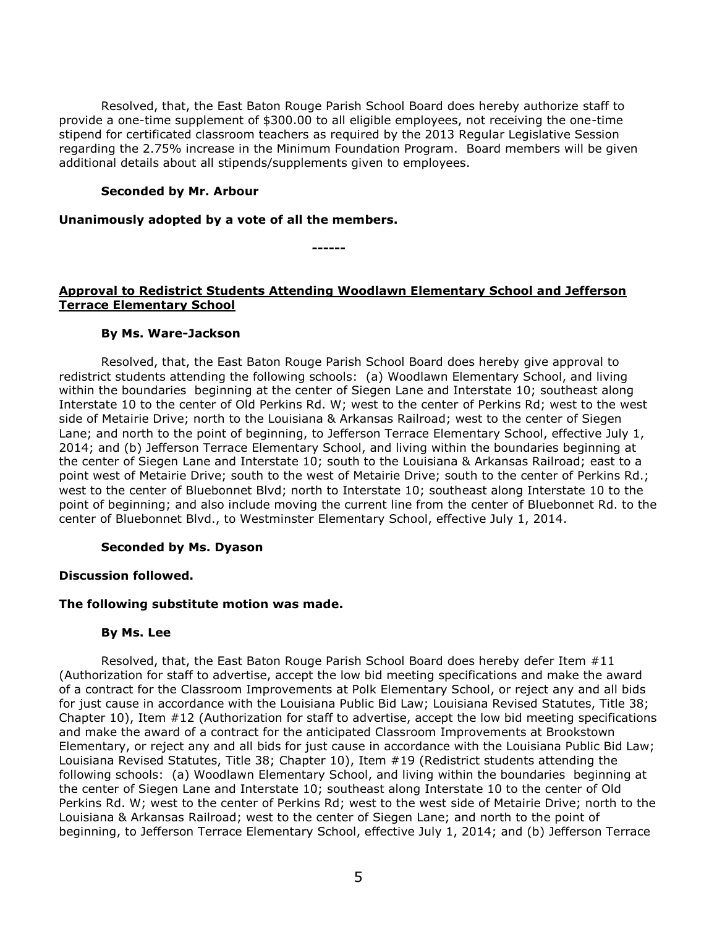Resolved, that, the East Baton Rouge Parish School Board does hereby authorize staff to provide a one-time supplement of \$300.00 to all eligible employees, not receiving the one-time stipend for certificated classroom teachers as required by the 2013 Regular Legislative Session regarding the 2.75% increase in the Minimum Foundation Program. Board members will be given additional details about all stipends/supplements given to employees.

### **Seconded by Mr. Arbour**

#### **Unanimously adopted by a vote of all the members.**

**Approval to Redistrict Students Attending Woodlawn Elementary School and Jefferson Terrace Elementary School**

**------**

#### **By Ms. Ware-Jackson**

Resolved, that, the East Baton Rouge Parish School Board does hereby give approval to redistrict students attending the following schools: (a) Woodlawn Elementary School, and living within the boundaries beginning at the center of Siegen Lane and Interstate 10; southeast along Interstate 10 to the center of Old Perkins Rd. W; west to the center of Perkins Rd; west to the west side of Metairie Drive; north to the Louisiana & Arkansas Railroad; west to the center of Siegen Lane; and north to the point of beginning, to Jefferson Terrace Elementary School, effective July 1, 2014; and (b) Jefferson Terrace Elementary School, and living within the boundaries beginning at the center of Siegen Lane and Interstate 10; south to the Louisiana & Arkansas Railroad; east to a point west of Metairie Drive; south to the west of Metairie Drive; south to the center of Perkins Rd.; west to the center of Bluebonnet Blvd; north to Interstate 10; southeast along Interstate 10 to the point of beginning; and also include moving the current line from the center of Bluebonnet Rd. to the center of Bluebonnet Blvd., to Westminster Elementary School, effective July 1, 2014.

#### **Seconded by Ms. Dyason**

#### **Discussion followed.**

## **The following substitute motion was made.**

#### **By Ms. Lee**

Resolved, that, the East Baton Rouge Parish School Board does hereby defer Item #11 (Authorization for staff to advertise, accept the low bid meeting specifications and make the award of a contract for the Classroom Improvements at Polk Elementary School, or reject any and all bids for just cause in accordance with the Louisiana Public Bid Law; Louisiana Revised Statutes, Title 38; Chapter 10), Item #12 (Authorization for staff to advertise, accept the low bid meeting specifications and make the award of a contract for the anticipated Classroom Improvements at Brookstown Elementary, or reject any and all bids for just cause in accordance with the Louisiana Public Bid Law; Louisiana Revised Statutes, Title 38; Chapter 10), Item #19 (Redistrict students attending the following schools: (a) Woodlawn Elementary School, and living within the boundaries beginning at the center of Siegen Lane and Interstate 10; southeast along Interstate 10 to the center of Old Perkins Rd. W; west to the center of Perkins Rd; west to the west side of Metairie Drive; north to the Louisiana & Arkansas Railroad; west to the center of Siegen Lane; and north to the point of beginning, to Jefferson Terrace Elementary School, effective July 1, 2014; and (b) Jefferson Terrace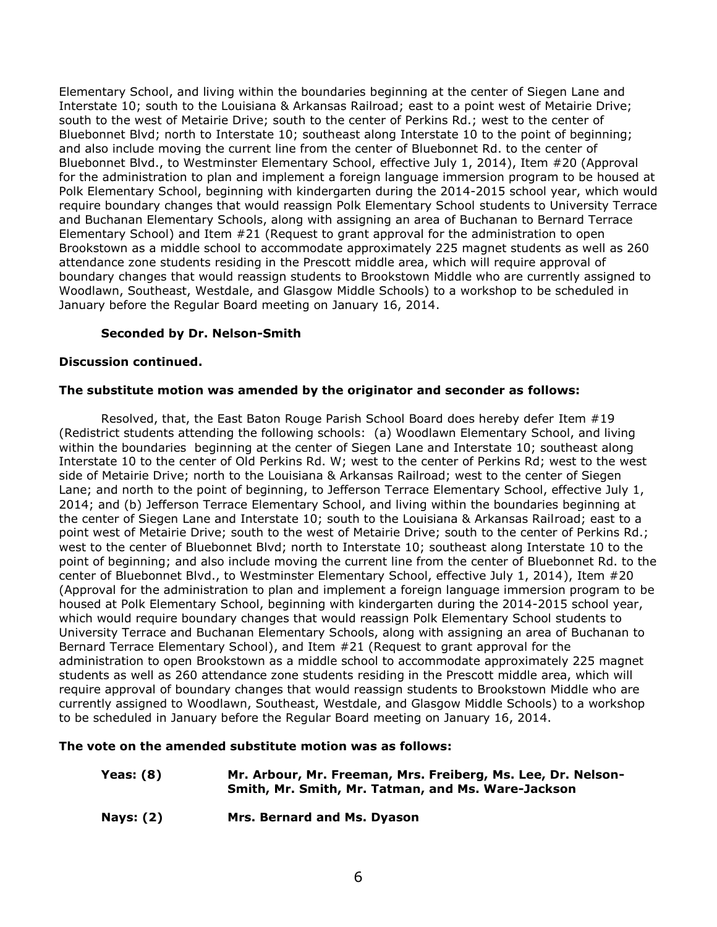Elementary School, and living within the boundaries beginning at the center of Siegen Lane and Interstate 10; south to the Louisiana & Arkansas Railroad; east to a point west of Metairie Drive; south to the west of Metairie Drive; south to the center of Perkins Rd.; west to the center of Bluebonnet Blvd; north to Interstate 10; southeast along Interstate 10 to the point of beginning; and also include moving the current line from the center of Bluebonnet Rd. to the center of Bluebonnet Blvd., to Westminster Elementary School, effective July 1, 2014), Item #20 (Approval for the administration to plan and implement a foreign language immersion program to be housed at Polk Elementary School, beginning with kindergarten during the 2014-2015 school year, which would require boundary changes that would reassign Polk Elementary School students to University Terrace and Buchanan Elementary Schools, along with assigning an area of Buchanan to Bernard Terrace Elementary School) and Item #21 (Request to grant approval for the administration to open Brookstown as a middle school to accommodate approximately 225 magnet students as well as 260 attendance zone students residing in the Prescott middle area, which will require approval of boundary changes that would reassign students to Brookstown Middle who are currently assigned to Woodlawn, Southeast, Westdale, and Glasgow Middle Schools) to a workshop to be scheduled in January before the Regular Board meeting on January 16, 2014.

## **Seconded by Dr. Nelson-Smith**

## **Discussion continued.**

## **The substitute motion was amended by the originator and seconder as follows:**

Resolved, that, the East Baton Rouge Parish School Board does hereby defer Item #19 (Redistrict students attending the following schools: (a) Woodlawn Elementary School, and living within the boundaries beginning at the center of Siegen Lane and Interstate 10; southeast along Interstate 10 to the center of Old Perkins Rd. W; west to the center of Perkins Rd; west to the west side of Metairie Drive; north to the Louisiana & Arkansas Railroad; west to the center of Siegen Lane; and north to the point of beginning, to Jefferson Terrace Elementary School, effective July 1, 2014; and (b) Jefferson Terrace Elementary School, and living within the boundaries beginning at the center of Siegen Lane and Interstate 10; south to the Louisiana & Arkansas Railroad; east to a point west of Metairie Drive; south to the west of Metairie Drive; south to the center of Perkins Rd.; west to the center of Bluebonnet Blvd; north to Interstate 10; southeast along Interstate 10 to the point of beginning; and also include moving the current line from the center of Bluebonnet Rd. to the center of Bluebonnet Blvd., to Westminster Elementary School, effective July 1, 2014), Item #20 (Approval for the administration to plan and implement a foreign language immersion program to be housed at Polk Elementary School, beginning with kindergarten during the 2014-2015 school year, which would require boundary changes that would reassign Polk Elementary School students to University Terrace and Buchanan Elementary Schools, along with assigning an area of Buchanan to Bernard Terrace Elementary School), and Item #21 (Request to grant approval for the administration to open Brookstown as a middle school to accommodate approximately 225 magnet students as well as 260 attendance zone students residing in the Prescott middle area, which will require approval of boundary changes that would reassign students to Brookstown Middle who are currently assigned to Woodlawn, Southeast, Westdale, and Glasgow Middle Schools) to a workshop to be scheduled in January before the Regular Board meeting on January 16, 2014.

## **The vote on the amended substitute motion was as follows:**

| Yeas: (8) | Mr. Arbour, Mr. Freeman, Mrs. Freiberg, Ms. Lee, Dr. Nelson- |
|-----------|--------------------------------------------------------------|
|           | Smith, Mr. Smith, Mr. Tatman, and Ms. Ware-Jackson           |

**Nays: (2) Mrs. Bernard and Ms. Dyason**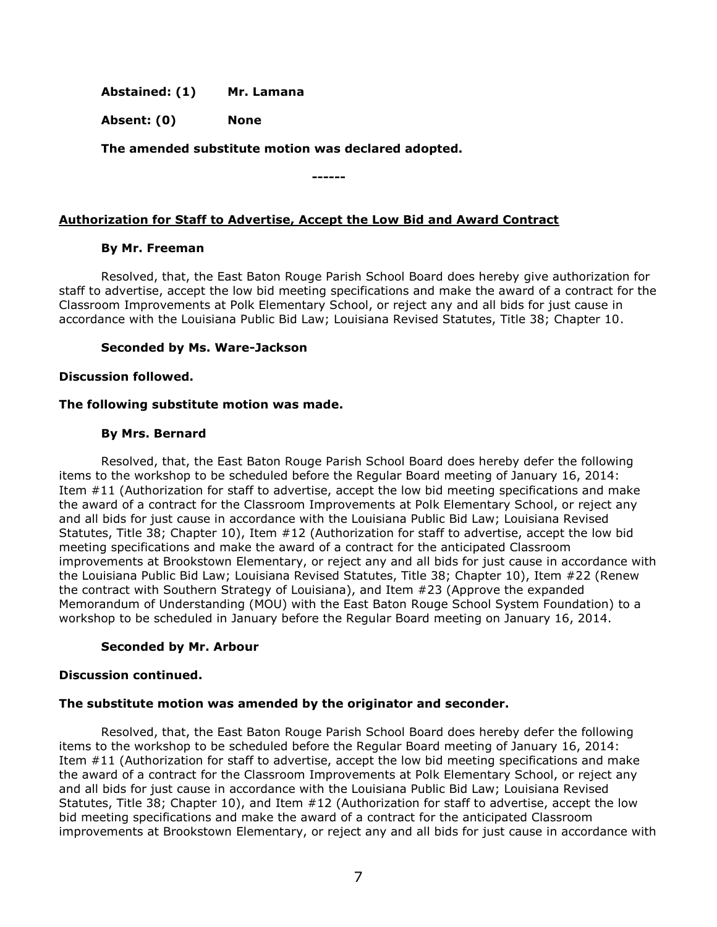**Abstained: (1) Mr. Lamana**

**Absent: (0) None**

**The amended substitute motion was declared adopted.**

**Authorization for Staff to Advertise, Accept the Low Bid and Award Contract**

**------**

## **By Mr. Freeman**

Resolved, that, the East Baton Rouge Parish School Board does hereby give authorization for staff to advertise, accept the low bid meeting specifications and make the award of a contract for the Classroom Improvements at Polk Elementary School, or reject any and all bids for just cause in accordance with the Louisiana Public Bid Law; Louisiana Revised Statutes, Title 38; Chapter 10.

## **Seconded by Ms. Ware-Jackson**

## **Discussion followed.**

## **The following substitute motion was made.**

## **By Mrs. Bernard**

Resolved, that, the East Baton Rouge Parish School Board does hereby defer the following items to the workshop to be scheduled before the Regular Board meeting of January 16, 2014: Item #11 (Authorization for staff to advertise, accept the low bid meeting specifications and make the award of a contract for the Classroom Improvements at Polk Elementary School, or reject any and all bids for just cause in accordance with the Louisiana Public Bid Law; Louisiana Revised Statutes, Title 38; Chapter 10), Item #12 (Authorization for staff to advertise, accept the low bid meeting specifications and make the award of a contract for the anticipated Classroom improvements at Brookstown Elementary, or reject any and all bids for just cause in accordance with the Louisiana Public Bid Law; Louisiana Revised Statutes, Title 38; Chapter 10), Item #22 (Renew the contract with Southern Strategy of Louisiana), and Item #23 (Approve the expanded Memorandum of Understanding (MOU) with the East Baton Rouge School System Foundation) to a workshop to be scheduled in January before the Regular Board meeting on January 16, 2014.

## **Seconded by Mr. Arbour**

## **Discussion continued.**

## **The substitute motion was amended by the originator and seconder.**

Resolved, that, the East Baton Rouge Parish School Board does hereby defer the following items to the workshop to be scheduled before the Regular Board meeting of January 16, 2014: Item #11 (Authorization for staff to advertise, accept the low bid meeting specifications and make the award of a contract for the Classroom Improvements at Polk Elementary School, or reject any and all bids for just cause in accordance with the Louisiana Public Bid Law; Louisiana Revised Statutes, Title 38; Chapter 10), and Item #12 (Authorization for staff to advertise, accept the low bid meeting specifications and make the award of a contract for the anticipated Classroom improvements at Brookstown Elementary, or reject any and all bids for just cause in accordance with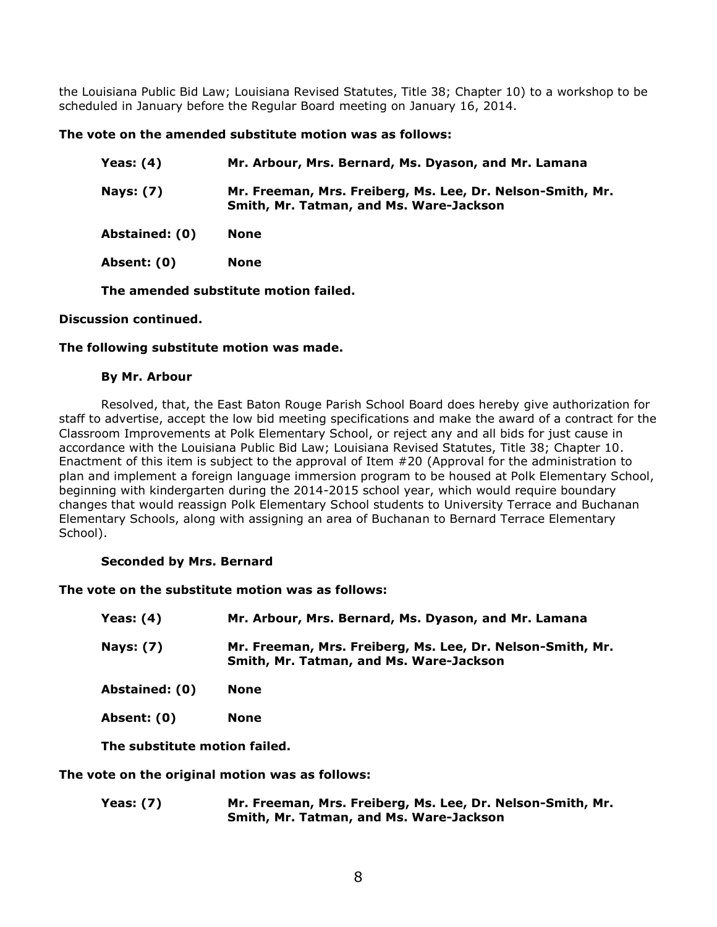the Louisiana Public Bid Law; Louisiana Revised Statutes, Title 38; Chapter 10) to a workshop to be scheduled in January before the Regular Board meeting on January 16, 2014.

## **The vote on the amended substitute motion was as follows:**

| Yeas: (4)        | Mr. Arbour, Mrs. Bernard, Ms. Dyason, and Mr. Lamana                                                  |
|------------------|-------------------------------------------------------------------------------------------------------|
| <b>Nays: (7)</b> | Mr. Freeman, Mrs. Freiberg, Ms. Lee, Dr. Nelson-Smith, Mr.<br>Smith, Mr. Tatman, and Ms. Ware-Jackson |
| Abstained: (0)   | <b>None</b>                                                                                           |
| Absent: (0)      | None                                                                                                  |
|                  |                                                                                                       |

**The amended substitute motion failed.**

## **Discussion continued.**

## **The following substitute motion was made.**

## **By Mr. Arbour**

Resolved, that, the East Baton Rouge Parish School Board does hereby give authorization for staff to advertise, accept the low bid meeting specifications and make the award of a contract for the Classroom Improvements at Polk Elementary School, or reject any and all bids for just cause in accordance with the Louisiana Public Bid Law; Louisiana Revised Statutes, Title 38; Chapter 10. Enactment of this item is subject to the approval of Item #20 (Approval for the administration to plan and implement a foreign language immersion program to be housed at Polk Elementary School, beginning with kindergarten during the 2014-2015 school year, which would require boundary changes that would reassign Polk Elementary School students to University Terrace and Buchanan Elementary Schools, along with assigning an area of Buchanan to Bernard Terrace Elementary School).

## **Seconded by Mrs. Bernard**

## **The vote on the substitute motion was as follows:**

| <b>Yeas: (4)</b> | Mr. Arbour, Mrs. Bernard, Ms. Dyason, and Mr. Lamana                                                  |
|------------------|-------------------------------------------------------------------------------------------------------|
| <b>Nays: (7)</b> | Mr. Freeman, Mrs. Freiberg, Ms. Lee, Dr. Nelson-Smith, Mr.<br>Smith, Mr. Tatman, and Ms. Ware-Jackson |
| Abstained: (0)   | <b>None</b>                                                                                           |
| Absent: (0)      | <b>None</b>                                                                                           |
|                  |                                                                                                       |

**The substitute motion failed.**

**The vote on the original motion was as follows:**

**Yeas: (7) Mr. Freeman, Mrs. Freiberg, Ms. Lee, Dr. Nelson-Smith, Mr. Smith, Mr. Tatman, and Ms. Ware-Jackson**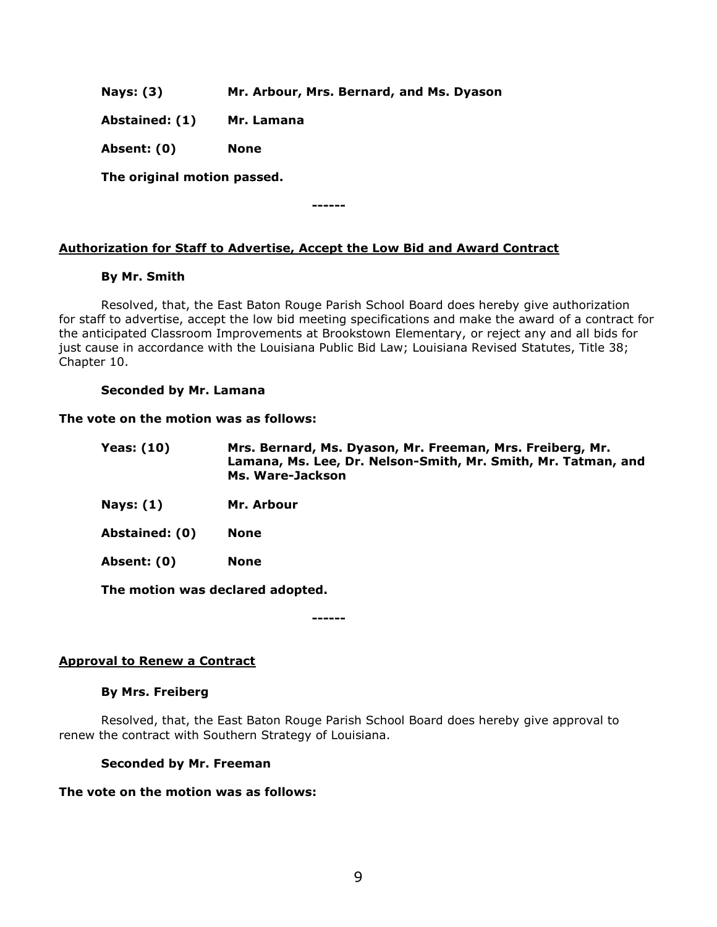**Nays: (3) Mr. Arbour, Mrs. Bernard, and Ms. Dyason**

**Abstained: (1) Mr. Lamana**

**Absent: (0) None**

**The original motion passed.**

**------**

# **Authorization for Staff to Advertise, Accept the Low Bid and Award Contract**

## **By Mr. Smith**

Resolved, that, the East Baton Rouge Parish School Board does hereby give authorization for staff to advertise, accept the low bid meeting specifications and make the award of a contract for the anticipated Classroom Improvements at Brookstown Elementary, or reject any and all bids for just cause in accordance with the Louisiana Public Bid Law; Louisiana Revised Statutes, Title 38; Chapter 10.

## **Seconded by Mr. Lamana**

## **The vote on the motion was as follows:**

| <b>Yeas: (10)</b> | Mrs. Bernard, Ms. Dyason, Mr. Freeman, Mrs. Freiberg, Mr.<br>Lamana, Ms. Lee, Dr. Nelson-Smith, Mr. Smith, Mr. Tatman, and<br>Ms. Ware-Jackson |
|-------------------|------------------------------------------------------------------------------------------------------------------------------------------------|
| Nays: $(1)$       | Mr. Arbour                                                                                                                                     |

**Abstained: (0) None**

**Absent: (0) None**

**The motion was declared adopted.**

**------**

## **Approval to Renew a Contract**

## **By Mrs. Freiberg**

Resolved, that, the East Baton Rouge Parish School Board does hereby give approval to renew the contract with Southern Strategy of Louisiana.

## **Seconded by Mr. Freeman**

## **The vote on the motion was as follows:**